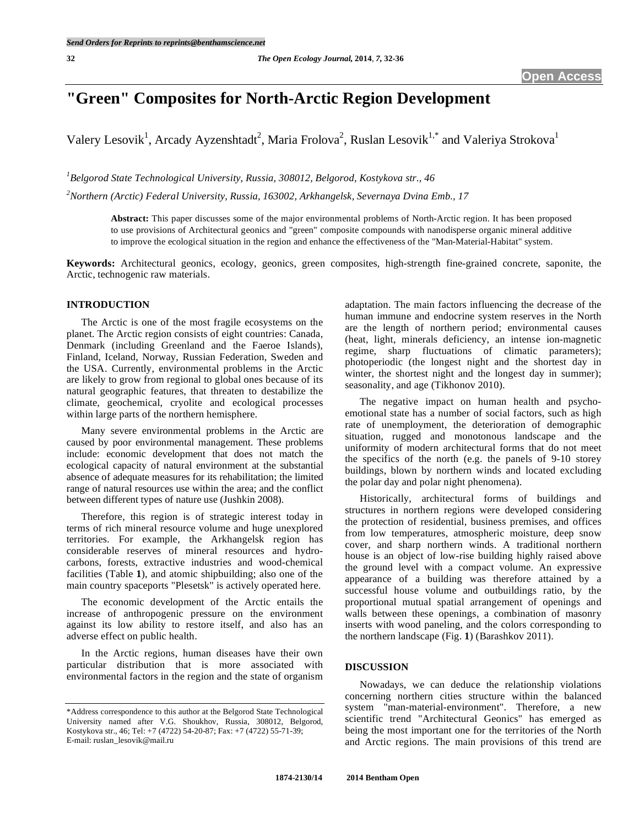# **"Green" Composites for North-Arctic Region Development**

Valery Lesovik<sup>1</sup>, Arcady Ayzenshtadt<sup>2</sup>, Maria Frolova<sup>2</sup>, Ruslan Lesovik<sup>1,\*</sup> and Valeriya Strokova<sup>1</sup>

*1 Belgorod State Technological University, Russia, 308012, Belgorod, Kostykova str., 46* 

*2 Northern (Arctic) Federal University, Russia, 163002, Arkhangelsk, Severnaya Dvina Emb., 17* 

**Abstract:** This paper discusses some of the major environmental problems of North-Arctic region. It has been proposed to use provisions of Architectural geonics and "green" composite compounds with nanodisperse organic mineral additive to improve the ecological situation in the region and enhance the effectiveness of the "Man-Material-Habitat" system.

**Keywords:** Architectural geonics, ecology, geonics, green composites, high-strength fine-grained concrete, saponite, the Arctic, technogenic raw materials.

# **INTRODUCTION**

 The Arctic is one of the most fragile ecosystems on the planet. The Arctic region consists of eight countries: Canada, Denmark (including Greenland and the Faeroe Islands), Finland, Iceland, Norway, Russian Federation, Sweden and the USA. Currently, environmental problems in the Arctic are likely to grow from regional to global ones because of its natural geographic features, that threaten to destabilize the climate, geochemical, cryolite and ecological processes within large parts of the northern hemisphere.

 Many severe environmental problems in the Arctic are caused by poor environmental management. These problems include: economic development that does not match the ecological capacity of natural environment at the substantial absence of adequate measures for its rehabilitation; the limited range of natural resources use within the area; and the conflict between different types of nature use (Jushkin 2008).

 Therefore, this region is of strategic interest today in terms of rich mineral resource volume and huge unexplored territories. For example, the Arkhangelsk region has considerable reserves of mineral resources and hydrocarbons, forests, extractive industries and wood-chemical facilities (Table **1**), and atomic shipbuilding; also one of the main country spaceports "Plesetsk" is actively operated here.

 The economic development of the Arctic entails the increase of anthropogenic pressure on the environment against its low ability to restore itself, and also has an adverse effect on public health.

 In the Arctic regions, human diseases have their own particular distribution that is more associated with environmental factors in the region and the state of organism adaptation. The main factors influencing the decrease of the human immune and endocrine system reserves in the North are the length of northern period; environmental causes (heat, light, minerals deficiency, an intense ion-magnetic regime, sharp fluctuations of climatic parameters); photoperiodic (the longest night and the shortest day in winter, the shortest night and the longest day in summer); seasonality, and age (Tikhonov 2010).

 The negative impact on human health and psychoemotional state has a number of social factors, such as high rate of unemployment, the deterioration of demographic situation, rugged and monotonous landscape and the uniformity of modern architectural forms that do not meet the specifics of the north (e.g. the panels of 9-10 storey buildings, blown by northern winds and located excluding the polar day and polar night phenomena).

 Historically, architectural forms of buildings and structures in northern regions were developed considering the protection of residential, business premises, and offices from low temperatures, atmospheric moisture, deep snow cover, and sharp northern winds. A traditional northern house is an object of low-rise building highly raised above the ground level with a compact volume. An expressive appearance of a building was therefore attained by a successful house volume and outbuildings ratio, by the proportional mutual spatial arrangement of openings and walls between these openings, a combination of masonry inserts with wood paneling, and the colors corresponding to the northern landscape (Fig. **1**) (Barashkov 2011).

#### **DISCUSSION**

 Nowadays, we can deduce the relationship violations concerning northern cities structure within the balanced system "man-material-environment". Therefore, a new scientific trend "Architectural Geonics" has emerged as being the most important one for the territories of the North and Arctic regions. The main provisions of this trend are

<sup>\*</sup>Address correspondence to this author at the Belgorod State Technological University named after V.G. Shoukhov, Russia, 308012, Belgorod, Kostykova str., 46; Tel: +7 (4722) 54-20-87; Fax: +7 (4722) 55-71-39; E-mail: ruslan\_lesovik@mail.ru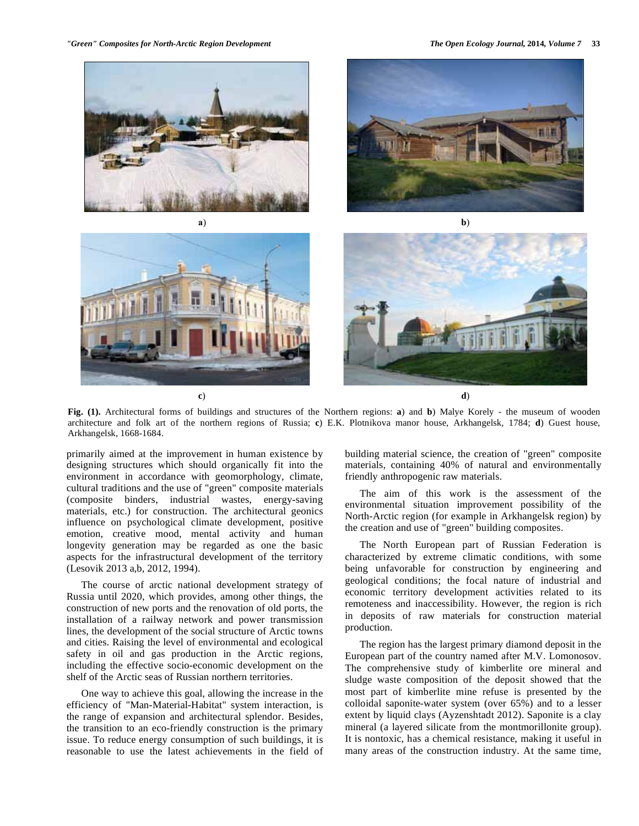

**Fig. (1).** Architectural forms of buildings and structures of the Northern regions: **a**) and **b**) Malye Korely - the museum of wooden architecture and folk art of the northern regions of Russia; **c**) E.K. Plotnikova manor house, Arkhangelsk, 1784; **d**) Guest house, Arkhangelsk, 1668-1684.

primarily aimed at the improvement in human existence by designing structures which should organically fit into the environment in accordance with geomorphology, climate, cultural traditions and the use of "green" composite materials (composite binders, industrial wastes, energy-saving materials, etc.) for construction. The architectural geonics influence on psychological climate development, positive emotion, creative mood, mental activity and human longevity generation may be regarded as one the basic aspects for the infrastructural development of the territory (Lesovik 2013 a,b, 2012, 1994).

 The course of arctic national development strategy of Russia until 2020, which provides, among other things, the construction of new ports and the renovation of old ports, the installation of a railway network and power transmission lines, the development of the social structure of Arctic towns and cities. Raising the level of environmental and ecological safety in oil and gas production in the Arctic regions, including the effective socio-economic development on the shelf of the Arctic seas of Russian northern territories.

 One way to achieve this goal, allowing the increase in the efficiency of "Man-Material-Habitat" system interaction, is the range of expansion and architectural splendor. Besides, the transition to an eco-friendly construction is the primary issue. To reduce energy consumption of such buildings, it is reasonable to use the latest achievements in the field of building material science, the creation of "green" composite materials, containing 40% of natural and environmentally friendly anthropogenic raw materials.

 The aim of this work is the assessment of the environmental situation improvement possibility of the North-Arctic region (for example in Arkhangelsk region) by the creation and use of "green" building composites.

 The North European part of Russian Federation is characterized by extreme climatic conditions, with some being unfavorable for construction by engineering and geological conditions; the focal nature of industrial and economic territory development activities related to its remoteness and inaccessibility. However, the region is rich in deposits of raw materials for construction material production.

 The region has the largest primary diamond deposit in the European part of the country named after M.V. Lomonosov. The comprehensive study of kimberlite ore mineral and sludge waste composition of the deposit showed that the most part of kimberlite mine refuse is presented by the colloidal saponite-water system (over 65%) and to a lesser extent by liquid clays (Ayzenshtadt 2012). Saponite is a clay mineral (a layered silicate from the montmorillonite group). It is nontoxic, has a chemical resistance, making it useful in many areas of the construction industry. At the same time,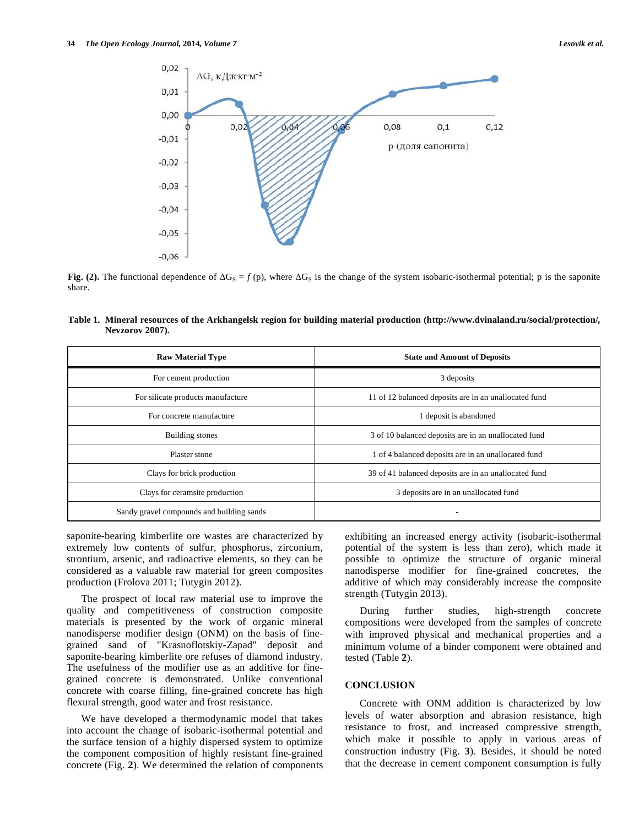

**Fig. (2).** The functional dependence of  $\Delta G_S = f(p)$ , where  $\Delta G_S$  is the change of the system isobaric-isothermal potential; p is the saponite share.

| Table 1. Mineral resources of the Arkhangelsk region for building material production (http://www.dvinaland.ru/social/protection/, |  |  |
|------------------------------------------------------------------------------------------------------------------------------------|--|--|
| Nevzorov 2007).                                                                                                                    |  |  |

| <b>Raw Material Type</b>                  | <b>State and Amount of Deposits</b>                   |  |  |
|-------------------------------------------|-------------------------------------------------------|--|--|
| For cement production                     | 3 deposits                                            |  |  |
| For silicate products manufacture         | 11 of 12 balanced deposits are in an unallocated fund |  |  |
| For concrete manufacture                  | 1 deposit is abandoned                                |  |  |
| Building stones                           | 3 of 10 balanced deposits are in an unallocated fund  |  |  |
| Plaster stone                             | 1 of 4 balanced deposits are in an unallocated fund   |  |  |
| Clays for brick production                | 39 of 41 balanced deposits are in an unallocated fund |  |  |
| Clays for ceramsite production            | 3 deposits are in an unallocated fund                 |  |  |
| Sandy gravel compounds and building sands |                                                       |  |  |

saponite-bearing kimberlite ore wastes are characterized by extremely low contents of sulfur, phosphorus, zirconium, strontium, arsenic, and radioactive elements, so they can be considered as a valuable raw material for green composites production (Frolova 2011; Tutygin 2012).

 The prospect of local raw material use to improve the quality and competitiveness of construction composite materials is presented by the work of organic mineral nanodisperse modifier design (ONM) on the basis of finegrained sand of "Krasnoflotskiy-Zapad" deposit and saponite-bearing kimberlite ore refuses of diamond industry. The usefulness of the modifier use as an additive for finegrained concrete is demonstrated. Unlike conventional concrete with coarse filling, fine-grained concrete has high flexural strength, good water and frost resistance.

 We have developed a thermodynamic model that takes into account the change of isobaric-isothermal potential and the surface tension of a highly dispersed system to optimize the component composition of highly resistant fine-grained concrete (Fig. **2**). We determined the relation of components exhibiting an increased energy activity (isobaric-isothermal potential of the system is less than zero), which made it possible to optimize the structure of organic mineral nanodisperse modifier for fine-grained concretes, the additive of which may considerably increase the composite strength (Tutygin 2013).

 During further studies, high-strength concrete compositions were developed from the samples of concrete with improved physical and mechanical properties and a minimum volume of a binder component were obtained and tested (Table **2**).

#### **CONCLUSION**

 Concrete with ONM addition is characterized by low levels of water absorption and abrasion resistance, high resistance to frost, and increased compressive strength, which make it possible to apply in various areas of construction industry (Fig. **3**). Besides, it should be noted that the decrease in cement component consumption is fully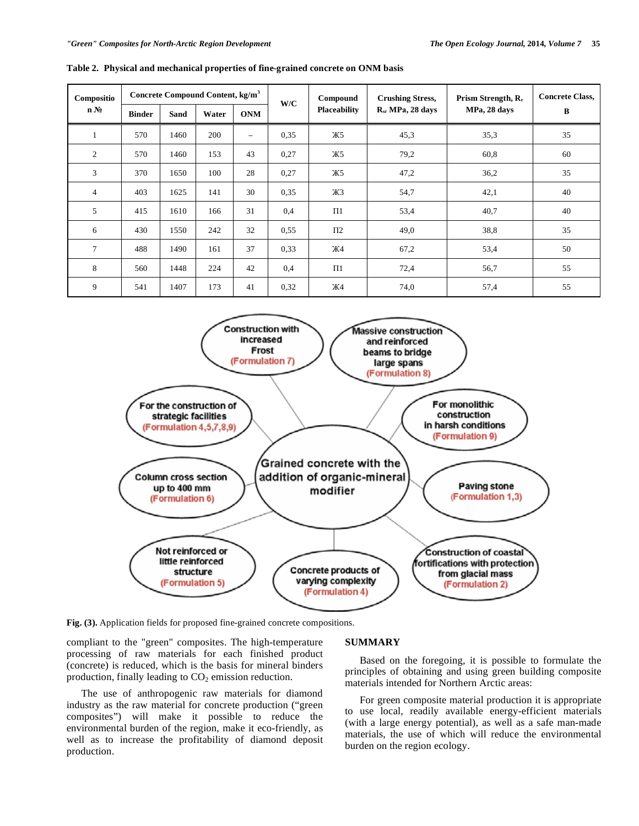| Compositio                   | Concrete Compound Content, kg/m <sup>3</sup> |             |       | W/C                      | Compound | <b>Crushing Stress,</b> | Prism Strength, R <sub>r</sub> | <b>Concrete Class,</b> |    |
|------------------------------|----------------------------------------------|-------------|-------|--------------------------|----------|-------------------------|--------------------------------|------------------------|----|
| $n\,\mathrm{N}$ <sup>o</sup> | <b>Binder</b>                                | <b>Sand</b> | Water | <b>ONM</b>               |          | <b>Placeability</b>     | $R_{sr}$ MPa, 28 days          | MPa, 28 days           | B  |
| $\mathbf{1}$                 | 570                                          | 1460        | 200   | $\overline{\phantom{0}}$ | 0.35     | Ж5                      | 45,3                           | 35,3                   | 35 |
| 2                            | 570                                          | 1460        | 153   | 43                       | 0,27     | Ж5                      | 79,2                           | 60,8                   | 60 |
| 3                            | 370                                          | 1650        | 100   | 28                       | 0,27     | Ж5                      | 47,2                           | 36,2                   | 35 |
| $\overline{4}$               | 403                                          | 1625        | 141   | 30                       | 0.35     | Ж3                      | 54,7                           | 42,1                   | 40 |
| 5                            | 415                                          | 1610        | 166   | 31                       | 0,4      | $\Pi1$                  | 53,4                           | 40,7                   | 40 |
| 6                            | 430                                          | 1550        | 242   | 32                       | 0.55     | $\Pi$ <sub>2</sub>      | 49,0                           | 38,8                   | 35 |
| $7\phantom{.0}$              | 488                                          | 1490        | 161   | 37                       | 0.33     | Ж4                      | 67,2                           | 53,4                   | 50 |
| 8                            | 560                                          | 1448        | 224   | 42                       | 0,4      | $\Pi$ 1                 | 72,4                           | 56,7                   | 55 |
| 9                            | 541                                          | 1407        | 173   | 41                       | 0,32     | Ж4                      | 74,0                           | 57,4                   | 55 |



**Fig. (3).** Application fields for proposed fine-grained concrete compositions.

compliant to the "green" composites. The high-temperature processing of raw materials for each finished product (concrete) is reduced, which is the basis for mineral binders production, finally leading to  $CO<sub>2</sub>$  emission reduction.

 The use of anthropogenic raw materials for diamond industry as the raw material for concrete production ("green composites") will make it possible to reduce the environmental burden of the region, make it eco-friendly, as well as to increase the profitability of diamond deposit production.

### **SUMMARY**

 Based on the foregoing, it is possible to formulate the principles of obtaining and using green building composite materials intended for Northern Arctic areas:

 For green composite material production it is appropriate to use local, readily available energy-efficient materials (with a large energy potential), as well as a safe man-made materials, the use of which will reduce the environmental burden on the region ecology.